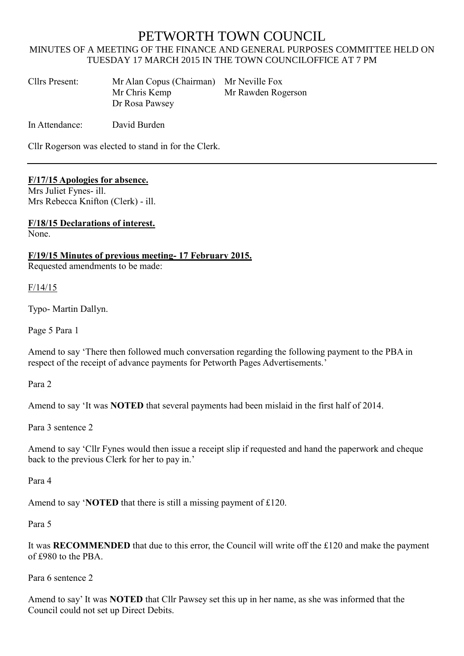# PETWORTH TOWN COUNCIL

## MINUTES OF A MEETING OF THE FINANCE AND GENERAL PURPOSES COMMITTEE HELD ON TUESDAY 17 MARCH 2015 IN THE TOWN COUNCILOFFICE AT 7 PM

| Cllrs Present: | Mr Alan Copus (Chairman) Mr Neville Fox |                    |
|----------------|-----------------------------------------|--------------------|
|                | Mr Chris Kemp                           | Mr Rawden Rogerson |
|                | Dr Rosa Pawsey                          |                    |

In Attendance: David Burden

Cllr Rogerson was elected to stand in for the Clerk.

## **F/17/15 Apologies for absence.**

Mrs Juliet Fynes- ill. Mrs Rebecca Knifton (Clerk) - ill.

**F/18/15 Declarations of interest.** None.

**F/19/15 Minutes of previous meeting- 17 February 2015.**

Requested amendments to be made:

F/14/15

Typo- Martin Dallyn.

Page 5 Para 1

Amend to say 'There then followed much conversation regarding the following payment to the PBA in respect of the receipt of advance payments for Petworth Pages Advertisements.'

Para 2

Amend to say 'It was **NOTED** that several payments had been mislaid in the first half of 2014.

Para 3 sentence 2

Amend to say 'Cllr Fynes would then issue a receipt slip if requested and hand the paperwork and cheque back to the previous Clerk for her to pay in.'

Para 4

Amend to say '**NOTED** that there is still a missing payment of £120.

Para 5

It was **RECOMMENDED** that due to this error, the Council will write off the £120 and make the payment of £980 to the PBA.

Para 6 sentence 2

Amend to say' It was **NOTED** that Cllr Pawsey set this up in her name, as she was informed that the Council could not set up Direct Debits.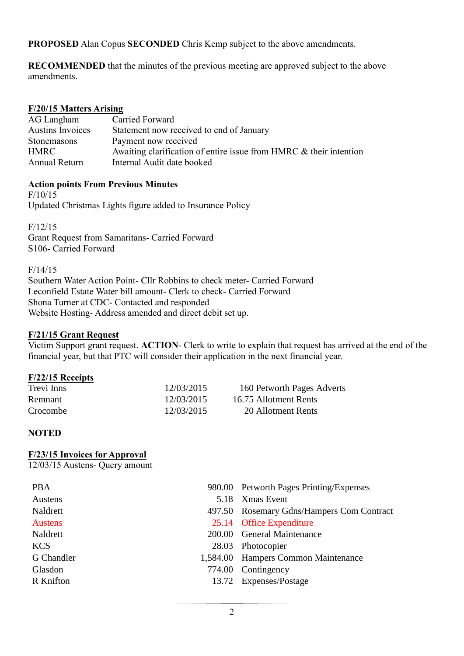**PROPOSED** Alan Copus **SECONDED** Chris Kemp subject to the above amendments.

**RECOMMENDED** that the minutes of the previous meeting are approved subject to the above amendments.

# **F/20/15 Matters Arising**

| AG Langham              | Carried Forward                                                    |
|-------------------------|--------------------------------------------------------------------|
| <b>Austins Invoices</b> | Statement now received to end of January                           |
| Stonemasons             | Payment now received                                               |
| <b>HMRC</b>             | Awaiting clarification of entire issue from HMRC & their intention |
| Annual Return           | Internal Audit date booked                                         |

## **Action points From Previous Minutes**

F/10/15

Updated Christmas Lights figure added to Insurance Policy

F/12/15

Grant Request from Samaritans- Carried Forward S106- Carried Forward

F/14/15

Southern Water Action Point- Cllr Robbins to check meter- Carried Forward Leconfield Estate Water bill amount- Clerk to check- Carried Forward Shona Turner at CDC- Contacted and responded Website Hosting- Address amended and direct debit set up.

## **F/21/15 Grant Request**

Victim Support grant request. **ACTION**- Clerk to write to explain that request has arrived at the end of the financial year, but that PTC will consider their application in the next financial year.

## **F/22/15 Receipts**

| Trevi Inns | 12/03/2015 | 160 Petworth Pages Adverts |
|------------|------------|----------------------------|
| Remnant    | 12/03/2015 | 16.75 Allotment Rents      |
| Crocombe   | 12/03/2015 | 20 Allotment Rents         |

# **NOTED**

## **F/23/15 Invoices for Approval**

12/03/15 Austens- Query amount

| <b>PBA</b>     | 980.00 Petworth Pages Printing/Expenses   |
|----------------|-------------------------------------------|
| Austens        | 5.18 Xmas Event                           |
| Naldrett       | 497.50 Rosemary Gdns/Hampers Com Contract |
| <b>Austens</b> | 25.14 Office Expenditure                  |
| Naldrett       | 200.00 General Maintenance                |
| <b>KCS</b>     | 28.03 Photocopier                         |
| G Chandler     | 1,584.00 Hampers Common Maintenance       |
| Glasdon        | 774.00 Contingency                        |
| R Knifton      | 13.72 Expenses/Postage                    |
|                |                                           |